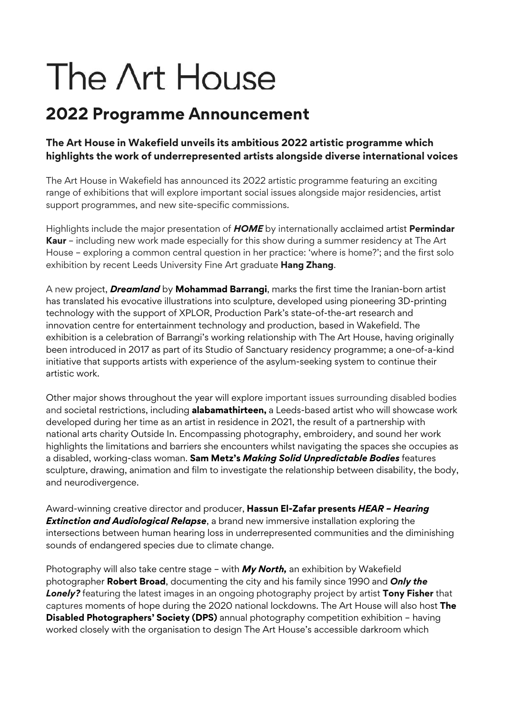# The Art House

## **2022 Programme Announcement**

#### **The Art House in Wakefield unveils its ambitious 2022 artistic programme which highlights the work of underrepresented artists alongside diverse international voices**

The Art House in Wakefield has announced its 2022 artistic programme featuring an exciting range of exhibitions that will explore important social issues alongside major residencies, artist support programmes, and new site-specific commissions.

Highlights include the major presentation of *HOME* by internationally acclaimed artist **Permindar Kaur** – including new work made especially for this show during a summer residency at The Art House – exploring a common central question in her practice: 'where is home?'; and the first solo exhibition by recent Leeds University Fine Art graduate **Hang Zhang**.

A new project, *Dreamland* by **Mohammad Barrangi**, marks the first time the Iranian-born artist has translated his evocative illustrations into sculpture, developed using pioneering 3D-printing technology with the support of XPLOR, Production Park's state-of-the-art research and innovation centre for entertainment technology and production, based in Wakefield. The exhibition is a celebration of Barrangi's working relationship with The Art House, having originally been introduced in 2017 as part of its Studio of Sanctuary residency programme; a one-of-a-kind initiative that supports artists with experience of the asylum-seeking system to continue their artistic work.

Other major shows throughout the year will explore important issues surrounding disabled bodies and societal restrictions, including **alabamathirteen,** a Leeds-based artist who will showcase work developed during her time as an artist in residence in 2021, the result of a partnership with national arts charity Outside In. Encompassing photography, embroidery, and sound her work highlights the limitations and barriers she encounters whilst navigating the spaces she occupies as a disabled, working-class woman. **Sam Metz's** *Making Solid Unpredictable Bodies* features sculpture, drawing, animation and film to investigate the relationship between disability, the body, and neurodivergence.

Award-winning creative director and producer, **Hassun El-Zafar presents** *HEAR – Hearing Extinction and Audiological Relapse*, a brand new immersive installation exploring the intersections between human hearing loss in underrepresented communities and the diminishing sounds of endangered species due to climate change.

Photography will also take centre stage – with *My North,* an exhibition by Wakefield photographer **Robert Broad**, documenting the city and his family since 1990 and *Only the Lonely?* featuring the latest images in an ongoing photography project by artist **Tony Fisher** that captures moments of hope during the 2020 national lockdowns. The Art House will also host **The Disabled Photographers' Society (DPS)** annual photography competition exhibition – having worked closely with the organisation to design The Art House's accessible darkroom which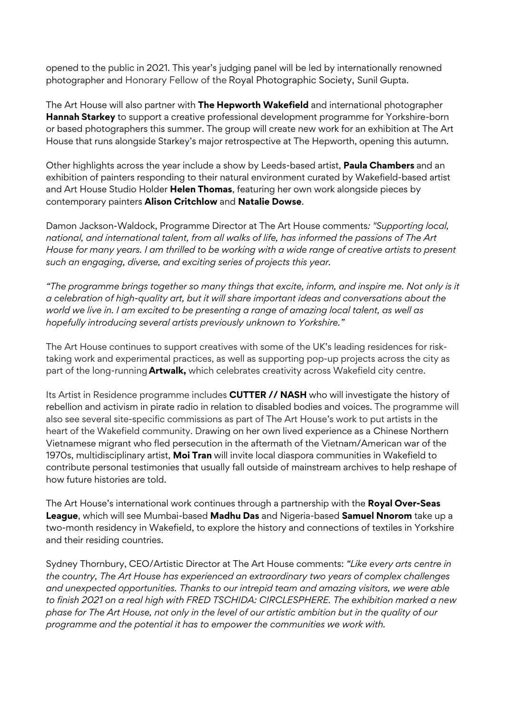opened to the public in 2021. This year's judging panel will be led by internationally renowned photographer and Honorary Fellow of the Royal Photographic Society, Sunil Gupta.

The Art House will also partner with **The Hepworth Wakefield** and international photographer **Hannah Starkey** to support a creative professional development programme for Yorkshire-born or based photographers this summer. The group will create new work for an exhibition at The Art House that runs alongside Starkey's major retrospective at The Hepworth, opening this autumn.

Other highlights across the year include a show by Leeds-based artist, **Paula Chambers** and an exhibition of painters responding to their natural environment curated by Wakefield-based artist and Art House Studio Holder **Helen Thomas**, featuring her own work alongside pieces by contemporary painters **Alison Critchlow** and **Natalie Dowse**.

Damon Jackson-Waldock, Programme Director at The Art House comments*: "Supporting local, national, and international talent, from all walks of life, has informed the passions of The Art House for many years. I am thrilled to be working with a wide range of creative artists to present such an engaging, diverse, and exciting series of projects this year.*

*"The programme brings together so many things that excite, inform, and inspire me. Not only is it a celebration of high-quality art, but it will share important ideas and conversations about the world we live in. I am excited to be presenting a range of amazing local talent, as well as hopefully introducing several artists previously unknown to Yorkshire."*

The Art House continues to support creatives with some of the UK's leading residences for risktaking work and experimental practices, as well as supporting pop-up projects across the city as part of the long-running **Artwalk,** which celebrates creativity across Wakefield city centre.

Its Artist in Residence programme includes **CUTTER // NASH** who will investigate the history of rebellion and activism in pirate radio in relation to disabled bodies and voices. The programme will also see several site-specific commissions as part of The Art House's work to put artists in the heart of the Wakefield community. Drawing on her own lived experience as a Chinese Northern Vietnamese migrant who fled persecution in the aftermath of the Vietnam/American war of the 1970s, multidisciplinary artist, **Moi Tran** will invite local diaspora communities in Wakefield to contribute personal testimonies that usually fall outside of mainstream archives to help reshape of how future histories are told.

The Art House's international work continues through a partnership with the **Royal Over-Seas League**, which will see Mumbai-based **Madhu Das** and Nigeria-based **Samuel Nnorom** take up a two-month residency in Wakefield, to explore the history and connections of textiles in Yorkshire and their residing countries.

Sydney Thornbury, CEO/Artistic Director at The Art House comments: *"Like every arts centre in the country, The Art House has experienced an extraordinary two years of complex challenges and unexpected opportunities. Thanks to our intrepid team and amazing visitors, we were able to finish 2021 on a real high with FRED TSCHIDA: CIRCLESPHERE. The exhibition marked a new phase for The Art House, not only in the level of our artistic ambition but in the quality of our programme and the potential it has to empower the communities we work with.*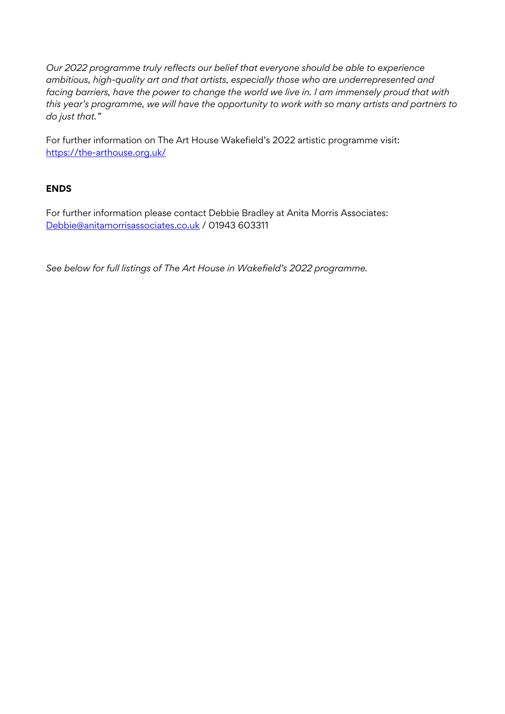*Our 2022 programme truly reflects our belief that everyone should be able to experience ambitious, high-quality art and that artists, especially those who are underrepresented and facing barriers, have the power to change the world we live in. I am immensely proud that with this year's programme, we will have the opportunity to work with so many artists and partners to do just that."* 

For further information on The Art House Wakefield's 2022 artistic programme visit: https://the-arthouse.org.uk/

#### **ENDS**

For further information please contact Debbie Bradley at Anita Morris Associates: Debbie@anitamorrisassociates.co.uk / 01943 603311

*See below for full listings of The Art House in Wakefield's 2022 programme.*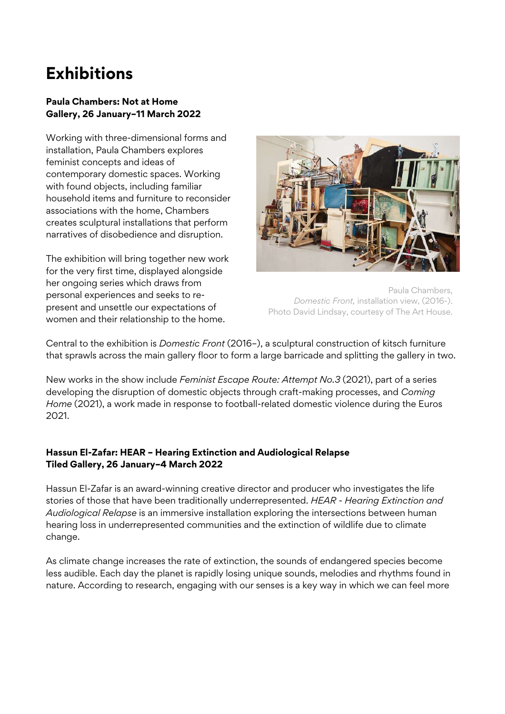# **Exhibitions**

#### **Paula Chambers: Not at Home Gallery, 26 January–11 March 2022**

Working with three-dimensional forms and installation, Paula Chambers explores feminist concepts and ideas of contemporary domestic spaces. Working with found objects, including familiar household items and furniture to reconsider associations with the home, Chambers creates sculptural installations that perform narratives of disobedience and disruption.

The exhibition will bring together new work for the very first time, displayed alongside her ongoing series which draws from personal experiences and seeks to represent and unsettle our expectations of women and their relationship to the home.



Paula Chambers, *Domestic Front,* installation view, (2016-). Photo David Lindsay, courtesy of The Art House.

Central to the exhibition is *Domestic Front* (2016–), a sculptural construction of kitsch furniture that sprawls across the main gallery floor to form a large barricade and splitting the gallery in two.

New works in the show include *Feminist Escape Route: Attempt No.3* (2021), part of a series developing the disruption of domestic objects through craft-making processes, and *Coming Home* (2021), a work made in response to football-related domestic violence during the Euros 2021.

#### **Hassun El-Zafar: HEAR – Hearing Extinction and Audiological Relapse Tiled Gallery, 26 January–4 March 2022**

Hassun El-Zafar is an award-winning creative director and producer who investigates the life stories of those that have been traditionally underrepresented. *HEAR - Hearing Extinction and Audiological Relapse* is an immersive installation exploring the intersections between human hearing loss in underrepresented communities and the extinction of wildlife due to climate change.

As climate change increases the rate of extinction, the sounds of endangered species become less audible. Each day the planet is rapidly losing unique sounds, melodies and rhythms found in nature. According to research, engaging with our senses is a key way in which we can feel more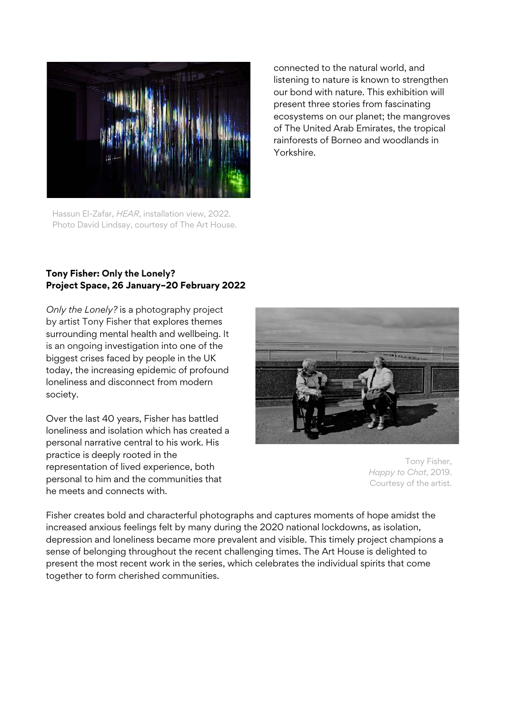

Hassun El-Zafar, *HEAR*, installation view, 2022. Photo David Lindsay, courtesy of The Art House.

connected to the natural world, and listening to nature is known to strengthen our bond with nature. This exhibition will present three stories from fascinating ecosystems on our planet; the mangroves of The United Arab Emirates, the tropical rainforests of Borneo and woodlands in Yorkshire.

#### **Tony Fisher: Only the Lonely? Project Space, 26 January–20 February 2022**

*Only the Lonely?* is a photography project by artist Tony Fisher that explores themes surrounding mental health and wellbeing. It is an ongoing investigation into one of the biggest crises faced by people in the UK today, the increasing epidemic of profound loneliness and disconnect from modern society.

Over the last 40 years, Fisher has battled loneliness and isolation which has created a personal narrative central to his work. His practice is deeply rooted in the representation of lived experience, both personal to him and the communities that he meets and connects with.



Tony Fisher, *Happy to Chat*, 2019. Courtesy of the artist.

Fisher creates bold and characterful photographs and captures moments of hope amidst the increased anxious feelings felt by many during the 2020 national lockdowns, as isolation, depression and loneliness became more prevalent and visible. This timely project champions a sense of belonging throughout the recent challenging times. The Art House is delighted to present the most recent work in the series, which celebrates the individual spirits that come together to form cherished communities.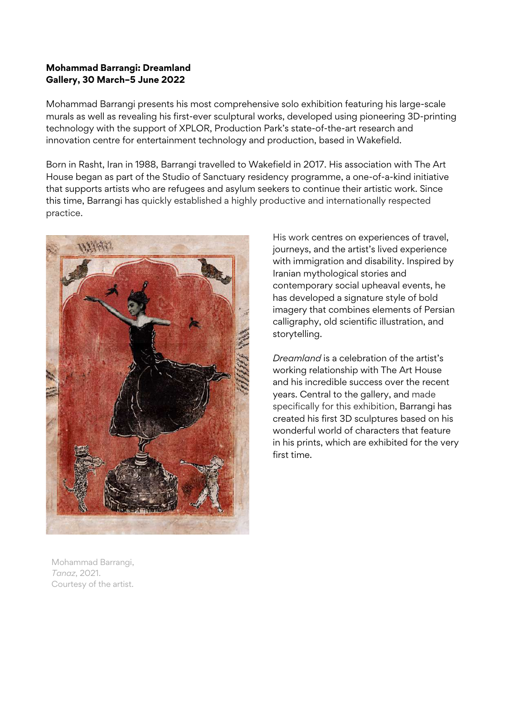#### **Mohammad Barrangi: Dreamland Gallery, 30 March–5 June 2022**

Mohammad Barrangi presents his most comprehensive solo exhibition featuring his large-scale murals as well as revealing his first-ever sculptural works, developed using pioneering 3D-printing technology with the support of XPLOR, Production Park's state-of-the-art research and innovation centre for entertainment technology and production, based in Wakefield.

Born in Rasht, Iran in 1988, Barrangi travelled to Wakefield in 2017. His association with The Art House began as part of the Studio of Sanctuary residency programme, a one-of-a-kind initiative that supports artists who are refugees and asylum seekers to continue their artistic work. Since this time, Barrangi has quickly established a highly productive and internationally respected practice.



His work centres on experiences of travel, journeys, and the artist's lived experience with immigration and disability. Inspired by Iranian mythological stories and contemporary social upheaval events, he has developed a signature style of bold imagery that combines elements of Persian calligraphy, old scientific illustration, and storytelling.

*Dreamland* is a celebration of the artist's working relationship with The Art House and his incredible success over the recent years. Central to the gallery, and made specifically for this exhibition, Barrangi has created his first 3D sculptures based on his wonderful world of characters that feature in his prints, which are exhibited for the very first time.

Mohammad Barrangi, *Tanaz*, 2021. Courtesy of the artist.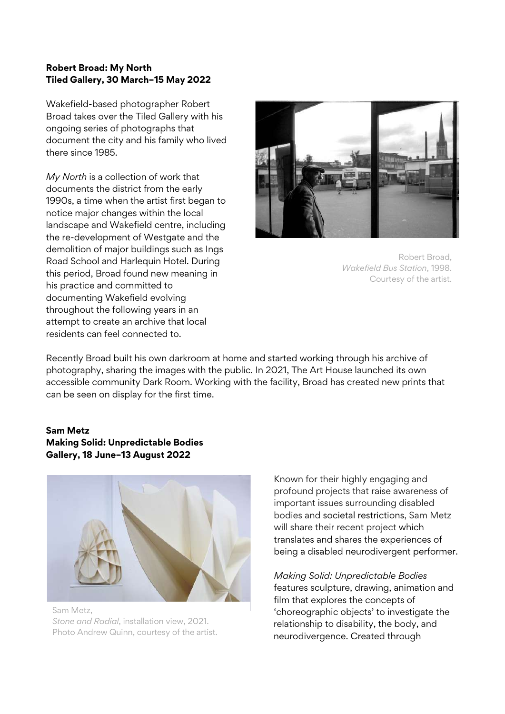#### **Robert Broad: My North Tiled Gallery, 30 March–15 May 2022**

Wakefield-based photographer Robert Broad takes over the Tiled Gallery with his ongoing series of photographs that document the city and his family who lived there since 1985.

*My North* is a collection of work that documents the district from the early 1990s, a time when the artist first began to notice major changes within the local landscape and Wakefield centre, including the re-development of Westgate and the demolition of major buildings such as Ings Road School and Harlequin Hotel. During this period, Broad found new meaning in his practice and committed to documenting Wakefield evolving throughout the following years in an attempt to create an archive that local residents can feel connected to.





Recently Broad built his own darkroom at home and started working through his archive of photography, sharing the images with the public. In 2021, The Art House launched its own accessible community Dark Room. Working with the facility, Broad has created new prints that can be seen on display for the first time.

#### **Sam Metz Making Solid: Unpredictable Bodies Gallery, 18 June–13 August 2022**



Sam Metz, *Stone and Radial*, installation view, 2021. Photo Andrew Quinn, courtesy of the artist. Known for their highly engaging and profound projects that raise awareness of important issues surrounding disabled bodies and societal restrictions, Sam Metz will share their recent project which translates and shares the experiences of being a disabled neurodivergent performer.

*Making Solid: Unpredictable Bodies* features sculpture, drawing, animation and film that explores the concepts of 'choreographic objects' to investigate the relationship to disability, the body, and neurodivergence. Created through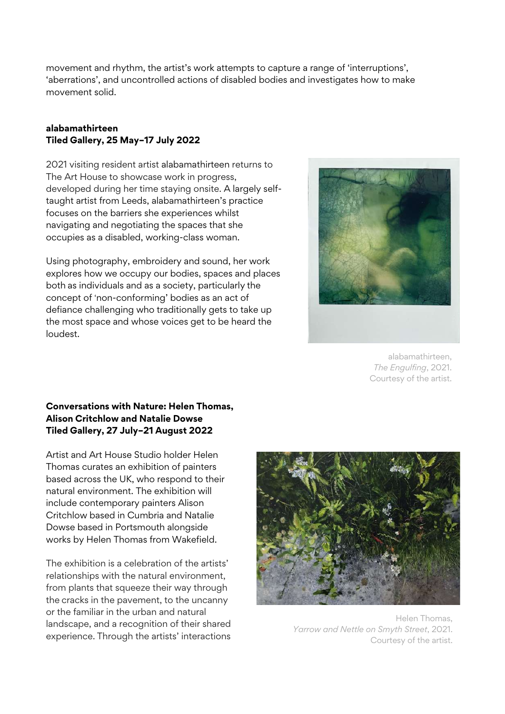movement and rhythm, the artist's work attempts to capture a range of 'interruptions', 'aberrations', and uncontrolled actions of disabled bodies and investigates how to make movement solid.

#### **alabamathirteen Tiled Gallery, 25 May–17 July 2022**

2021 visiting resident artist alabamathirteen returns to The Art House to showcase work in progress, developed during her time staying onsite. A largely selftaught artist from Leeds, alabamathirteen's practice focuses on the barriers she experiences whilst navigating and negotiating the spaces that she occupies as a disabled, working-class woman.

Using photography, embroidery and sound, her work explores how we occupy our bodies, spaces and places both as individuals and as a society, particularly the concept of 'non-conforming' bodies as an act of defiance challenging who traditionally gets to take up the most space and whose voices get to be heard the loudest.



alabamathirteen, *The Engulfing*, 2021. Courtesy of the artist.

#### **Conversations with Nature: Helen Thomas, Alison Critchlow and Natalie Dowse Tiled Gallery, 27 July–21 August 2022**

Artist and Art House Studio holder Helen Thomas curates an exhibition of painters based across the UK, who respond to their natural environment. The exhibition will include contemporary painters Alison Critchlow based in Cumbria and Natalie Dowse based in Portsmouth alongside works by Helen Thomas from Wakefield.

The exhibition is a celebration of the artists' relationships with the natural environment, from plants that squeeze their way through the cracks in the pavement, to the uncanny or the familiar in the urban and natural landscape, and a recognition of their shared experience. Through the artists' interactions



Helen Thomas, *Yarrow and Nettle on Smyth Street*, 2021. Courtesy of the artist.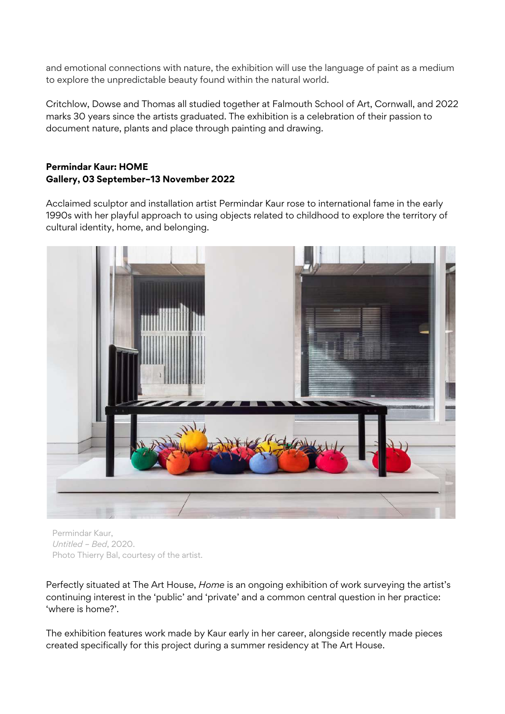and emotional connections with nature, the exhibition will use the language of paint as a medium to explore the unpredictable beauty found within the natural world.

Critchlow, Dowse and Thomas all studied together at Falmouth School of Art, Cornwall, and 2022 marks 30 years since the artists graduated. The exhibition is a celebration of their passion to document nature, plants and place through painting and drawing.

#### **Permindar Kaur: HOME Gallery, 03 September–13 November 2022**

Acclaimed sculptor and installation artist Permindar Kaur rose to international fame in the early 1990s with her playful approach to using objects related to childhood to explore the territory of cultural identity, home, and belonging.



Permindar Kaur, *Untitled – Bed*, 2020. Photo Thierry Bal, courtesy of the artist.

Perfectly situated at The Art House, *Home* is an ongoing exhibition of work surveying the artist's continuing interest in the 'public' and 'private' and a common central question in her practice: 'where is home?'.

The exhibition features work made by Kaur early in her career, alongside recently made pieces created specifically for this project during a summer residency at The Art House.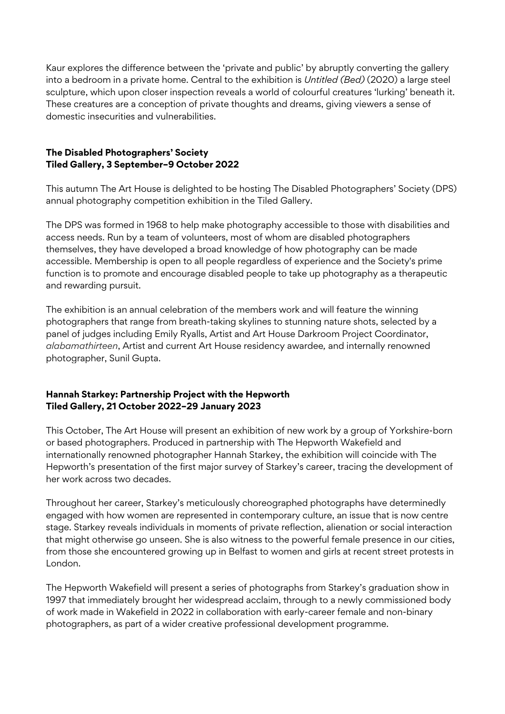Kaur explores the difference between the 'private and public' by abruptly converting the gallery into a bedroom in a private home. Central to the exhibition is *Untitled (Bed)* (2020) a large steel sculpture, which upon closer inspection reveals a world of colourful creatures 'lurking' beneath it. These creatures are a conception of private thoughts and dreams, giving viewers a sense of domestic insecurities and vulnerabilities.

#### **The Disabled Photographers' Society Tiled Gallery, 3 September–9 October 2022**

This autumn The Art House is delighted to be hosting The Disabled Photographers' Society (DPS) annual photography competition exhibition in the Tiled Gallery.

The DPS was formed in 1968 to help make photography accessible to those with disabilities and access needs. Run by a team of volunteers, most of whom are disabled photographers themselves, they have developed a broad knowledge of how photography can be made accessible. Membership is open to all people regardless of experience and the Society's prime function is to promote and encourage disabled people to take up photography as a therapeutic and rewarding pursuit.

The exhibition is an annual celebration of the members work and will feature the winning photographers that range from breath-taking skylines to stunning nature shots, selected by a panel of judges including Emily Ryalls, Artist and Art House Darkroom Project Coordinator, *alabamathirteen*, Artist and current Art House residency awardee*,* and internally renowned photographer, Sunil Gupta.

#### **Hannah Starkey: Partnership Project with the Hepworth Tiled Gallery, 21 October 2022–29 January 2023**

This October, The Art House will present an exhibition of new work by a group of Yorkshire-born or based photographers. Produced in partnership with The Hepworth Wakefield and internationally renowned photographer Hannah Starkey, the exhibition will coincide with The Hepworth's presentation of the first major survey of Starkey's career, tracing the development of her work across two decades.

Throughout her career, Starkey's meticulously choreographed photographs have determinedly engaged with how women are represented in contemporary culture, an issue that is now centre stage. Starkey reveals individuals in moments of private reflection, alienation or social interaction that might otherwise go unseen. She is also witness to the powerful female presence in our cities, from those she encountered growing up in Belfast to women and girls at recent street protests in London.

The Hepworth Wakefield will present a series of photographs from Starkey's graduation show in 1997 that immediately brought her widespread acclaim, through to a newly commissioned body of work made in Wakefield in 2022 in collaboration with early-career female and non-binary photographers, as part of a wider creative professional development programme.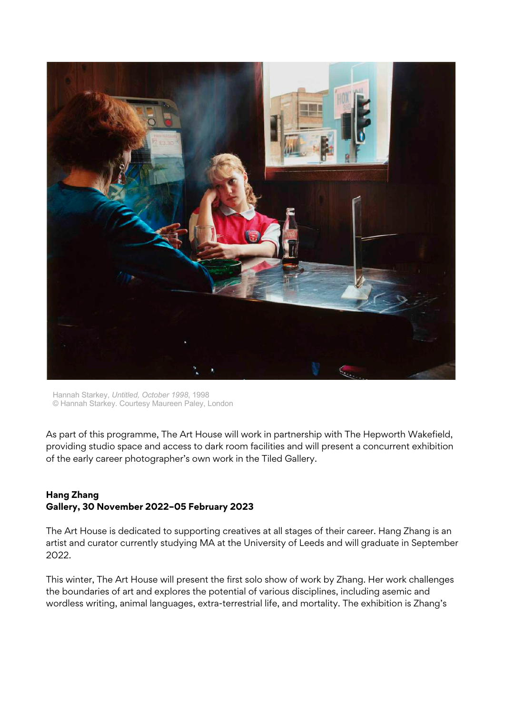

Hannah Starkey, *Untitled, October 1998*, 1998 © Hannah Starkey. Courtesy Maureen Paley, London

As part of this programme, The Art House will work in partnership with The Hepworth Wakefield, providing studio space and access to dark room facilities and will present a concurrent exhibition of the early career photographer's own work in the Tiled Gallery.

#### **Hang Zhang Gallery, 30 November 2022–05 February 2023**

The Art House is dedicated to supporting creatives at all stages of their career. Hang Zhang is an artist and curator currently studying MA at the University of Leeds and will graduate in September 2022.

This winter, The Art House will present the first solo show of work by Zhang. Her work challenges the boundaries of art and explores the potential of various disciplines, including asemic and wordless writing, animal languages, extra-terrestrial life, and mortality. The exhibition is Zhang's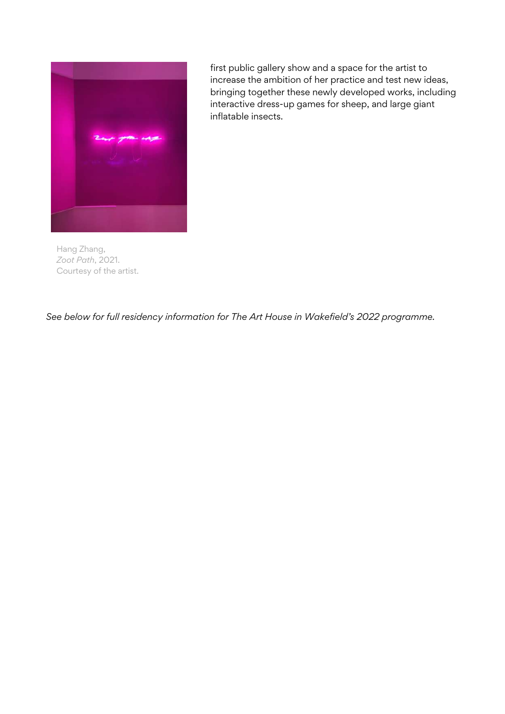

Hang Zhang, *Zoot Path*, 2021. Courtesy of the artist.

first public gallery show and a space for the artist to increase the ambition of her practice and test new ideas, bringing together these newly developed works, including interactive dress-up games for sheep, and large giant inflatable insects.

*See below for full residency information for The Art House in Wakefield's 2022 programme.*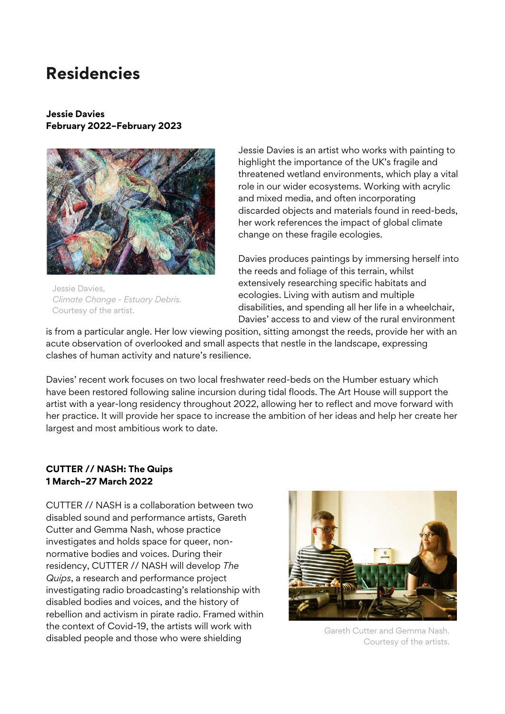### **Residencies**

#### **Jessie Davies February 2022–February 2023**



Jessie Davies, *Climate Change - Estuary Debris.* Courtesy of the artist.

Jessie Davies is an artist who works with painting to highlight the importance of the UK's fragile and threatened wetland environments, which play a vital role in our wider ecosystems. Working with acrylic and mixed media, and often incorporating discarded objects and materials found in reed-beds, her work references the impact of global climate change on these fragile ecologies.

Davies produces paintings by immersing herself into the reeds and foliage of this terrain, whilst extensively researching specific habitats and ecologies. Living with autism and multiple disabilities, and spending all her life in a wheelchair, Davies' access to and view of the rural environment

is from a particular angle. Her low viewing position, sitting amongst the reeds, provide her with an acute observation of overlooked and small aspects that nestle in the landscape, expressing clashes of human activity and nature's resilience.

Davies' recent work focuses on two local freshwater reed-beds on the Humber estuary which have been restored following saline incursion during tidal floods. The Art House will support the artist with a year-long residency throughout 2022, allowing her to reflect and move forward with her practice. It will provide her space to increase the ambition of her ideas and help her create her largest and most ambitious work to date.

#### **CUTTER // NASH: The Quips 1 March–27 March 2022**

CUTTER // NASH is a collaboration between two disabled sound and performance artists, Gareth Cutter and Gemma Nash, whose practice investigates and holds space for queer, nonnormative bodies and voices. During their residency, CUTTER // NASH will develop *The Quips*, a research and performance project investigating radio broadcasting's relationship with disabled bodies and voices, and the history of rebellion and activism in pirate radio. Framed within the context of Covid-19, the artists will work with disabled people and those who were shielding



Gareth Cutter and Gemma Nash. Courtesy of the artists.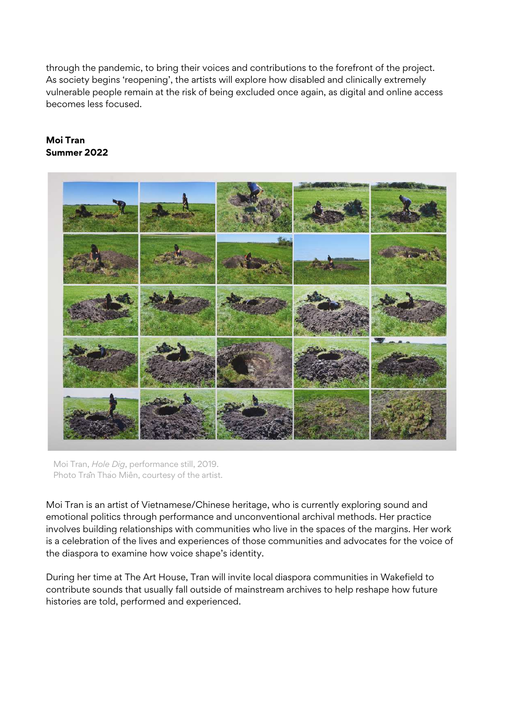through the pandemic, to bring their voices and contributions to the forefront of the project. As society begins 'reopening', the artists will explore how disabled and clinically extremely vulnerable people remain at the risk of being excluded once again, as digital and online access becomes less focused.

#### **Moi Tran Summer 2022**



Moi Tran, *Hole Dig*, performance still, 2019. Photo Traîn Thao Miên, courtesy of the artist.

Moi Tran is an artist of Vietnamese/Chinese heritage, who is currently exploring sound and emotional politics through performance and unconventional archival methods. Her practice involves building relationships with communities who live in the spaces of the margins. Her work is a celebration of the lives and experiences of those communities and advocates for the voice of the diaspora to examine how voice shape's identity.

During her time at The Art House, Tran will invite local diaspora communities in Wakefield to contribute sounds that usually fall outside of mainstream archives to help reshape how future histories are told, performed and experienced.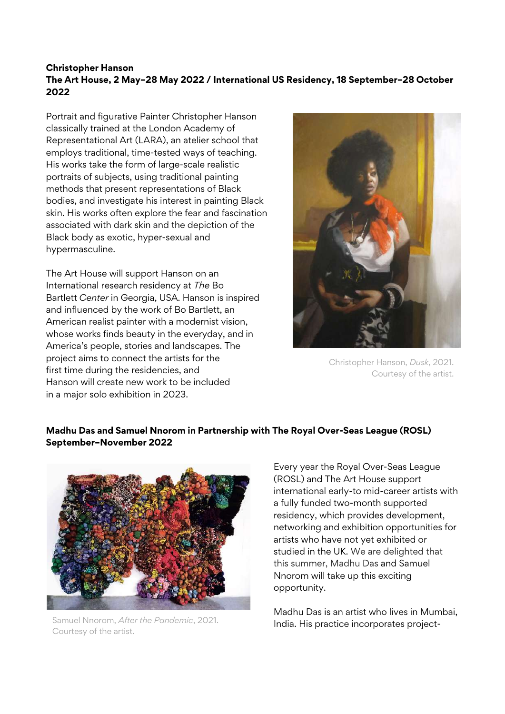#### **Christopher Hanson The Art House, 2 May–28 May 2022 / International US Residency, 18 September–28 October 2022**

Portrait and figurative Painter Christopher Hanson classically trained at the London Academy of Representational Art (LARA), an atelier school that employs traditional, time-tested ways of teaching. His works take the form of large-scale realistic portraits of subjects, using traditional painting methods that present representations of Black bodies, and investigate his interest in painting Black skin. His works often explore the fear and fascination associated with dark skin and the depiction of the Black body as exotic, hyper-sexual and hypermasculine.

The Art House will support Hanson on an International research residency at *The* Bo Bartlett *Center* in Georgia, USA. Hanson is inspired and influenced by the work of Bo Bartlett, an American realist painter with a modernist vision, whose works finds beauty in the everyday, and in America's people, stories and landscapes. The project aims to connect the artists for the first time during the residencies, and Hanson will create new work to be included in a major solo exhibition in 2023.



Christopher Hanson, *Dusk*, 2021. Courtesy of the artist.

#### **Madhu Das and Samuel Nnorom in Partnership with The Royal Over-Seas League (ROSL) September–November 2022**



Samuel Nnorom, *After the Pandemic*, 2021. Courtesy of the artist.

Every year the Royal Over-Seas League (ROSL) and The Art House support international early-to mid-career artists with a fully funded two-month supported residency, which provides development, networking and exhibition opportunities for artists who have not yet exhibited or studied in the UK. We are delighted that this summer, Madhu Das and Samuel Nnorom will take up this exciting opportunity.

Madhu Das is an artist who lives in Mumbai, India. His practice incorporates project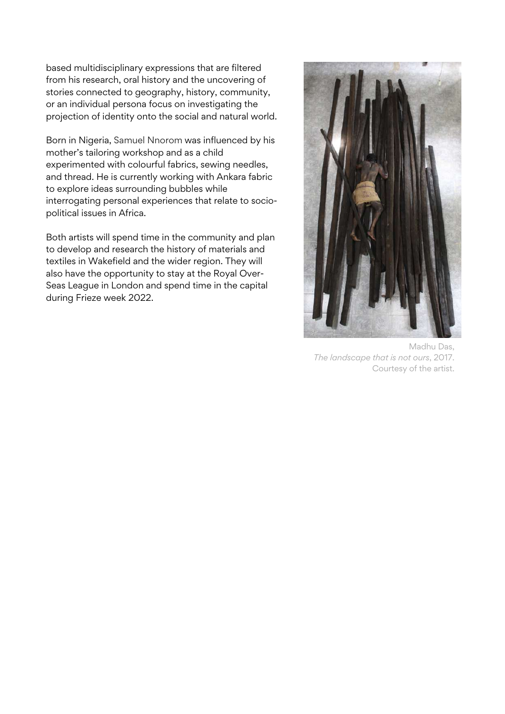based multidisciplinary expressions that are filtered from his research, oral history and the uncovering of stories connected to geography, history, community, or an individual persona focus on investigating the projection of identity onto the social and natural world.

Born in Nigeria, Samuel Nnorom was influenced by his mother's tailoring workshop and as a child experimented with colourful fabrics, sewing needles, and thread. He is currently working with Ankara fabric to explore ideas surrounding bubbles while interrogating personal experiences that relate to sociopolitical issues in Africa.

Both artists will spend time in the community and plan to develop and research the history of materials and textiles in Wakefield and the wider region. They will also have the opportunity to stay at the Royal Over-Seas League in London and spend time in the capital during Frieze week 2022.



Madhu Das, *The landscape that is not ours*, 2017. Courtesy of the artist.